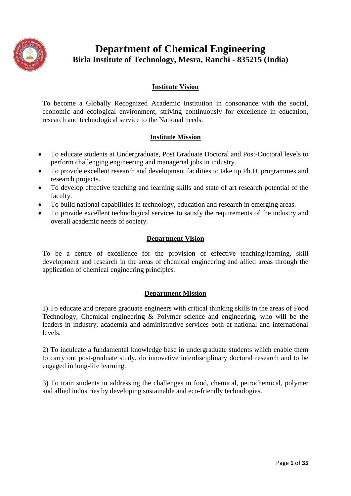

# **Department of Chemical Engineering Birla Institute of Technology, Mesra, Ranchi - 835215 (India)**

# **Institute Vision**

To become a Globally Recognized Academic Institution in consonance with the social, economic and ecological environment, striving continuously for excellence in education, research and technological service to the National needs.

# **Institute Mission**

- To educate students at Undergraduate, Post Graduate Doctoral and Post-Doctoral levels to perform challenging engineering and managerial jobs in industry.
- To provide excellent research and development facilities to take up Ph.D. programmes and research projects.
- To develop effective teaching and learning skills and state of art research potential of the faculty.
- To build national capabilities in technology, education and research in emerging areas.
- To provide excellent technological services to satisfy the requirements of the industry and overall academic needs of society.

#### **Department Vision**

To be a centre of excellence for the provision of effective teaching/learning, skill development and research in the areas of chemical engineering and allied areas through the application of chemical engineering principles.

# **Department Mission**

1) To educate and prepare graduate engineers with critical thinking skills in the areas of Food Technology, Chemical engineering & Polymer science and engineering, who will be the leaders in industry, academia and administrative services both at national and international levels.

2) To inculcate a fundamental knowledge base in undergraduate students which enable them to carry out post-graduate study, do innovative interdisciplinary doctoral research and to be engaged in long-life learning.

3) To train students in addressing the challenges in food, chemical, petrochemical, polymer and allied industries by developing sustainable and eco-friendly technologies.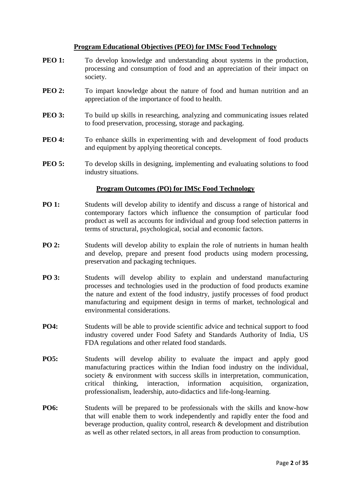#### **Program Educational Objectives (PEO) for IMSc Food Technology**

- **PEO 1:** To develop knowledge and understanding about systems in the production, processing and consumption of food and an appreciation of their impact on society.
- **PEO 2:** To impart knowledge about the nature of food and human nutrition and an appreciation of the importance of food to health.
- **PEO 3:** To build up skills in researching, analyzing and communicating issues related to food preservation, processing, storage and packaging.
- **PEO 4:** To enhance skills in experimenting with and development of food products and equipment by applying theoretical concepts.
- **PEO 5:** To develop skills in designing, implementing and evaluating solutions to food industry situations.

#### **Program Outcomes (PO) for IMSc Food Technology**

- **PO 1:** Students will develop ability to identify and discuss a range of historical and contemporary factors which influence the consumption of particular food product as well as accounts for individual and group food selection patterns in terms of structural, psychological, social and economic factors.
- **PO 2:** Students will develop ability to explain the role of nutrients in human health and develop, prepare and present food products using modern processing, preservation and packaging techniques.
- **PO 3:** Students will develop ability to explain and understand manufacturing processes and technologies used in the production of food products examine the nature and extent of the food industry, justify processes of food product manufacturing and equipment design in terms of market, technological and environmental considerations.
- **PO4:** Students will be able to provide scientific advice and technical support to food industry covered under Food Safety and Standards Authority of India, US FDA regulations and other related food standards.
- **PO5:** Students will develop ability to evaluate the impact and apply good manufacturing practices within the Indian food industry on the individual, society & environment with success skills in interpretation, communication, critical thinking, interaction, information acquisition, organization, professionalism, leadership, auto-didactics and life-long-learning.
- **PO6:** Students will be prepared to be professionals with the skills and know-how that will enable them to work independently and rapidly enter the food and beverage production, quality control, research & development and distribution as well as other related sectors, in all areas from production to consumption.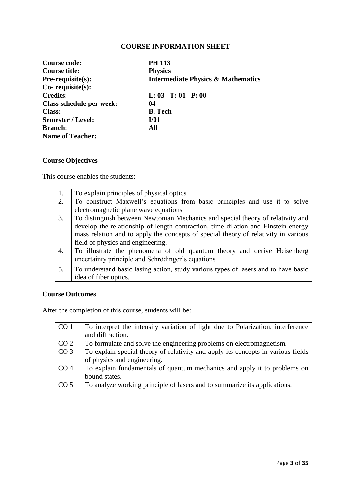| Course code:             | <b>PH 113</b>                                 |
|--------------------------|-----------------------------------------------|
| Course title:            | <b>Physics</b>                                |
| <b>Pre-requisite(s):</b> | <b>Intermediate Physics &amp; Mathematics</b> |
| $Co$ - requisite $(s)$ : |                                               |
| <b>Credits:</b>          | $L: 03$ T: 01 P: 00                           |
| Class schedule per week: | 04                                            |
| <b>Class:</b>            | <b>B.</b> Tech                                |
| Semester / Level:        | I/01                                          |
| <b>Branch:</b>           | All                                           |
| <b>Name of Teacher:</b>  |                                               |

# **Course Objectives**

This course enables the students:

| 1. | To explain principles of physical optics                                                                                     |
|----|------------------------------------------------------------------------------------------------------------------------------|
| 2. | To construct Maxwell's equations from basic principles and use it to solve                                                   |
|    | electromagnetic plane wave equations                                                                                         |
| 3. | To distinguish between Newtonian Mechanics and special theory of relativity and                                              |
|    | develop the relationship of length contraction, time dilation and Einstein energy                                            |
|    | mass relation and to apply the concepts of special theory of relativity in various                                           |
|    | field of physics and engineering.                                                                                            |
| 4. | To illustrate the phenomena of old quantum theory and derive Heisenberg<br>uncertainty principle and Schrödinger's equations |
| 5. | To understand basic lasing action, study various types of lasers and to have basic                                           |
|    | idea of fiber optics.                                                                                                        |

# **Course Outcomes**

After the completion of this course, students will be:

| CO <sub>1</sub> | To interpret the intensity variation of light due to Polarization, interference  |
|-----------------|----------------------------------------------------------------------------------|
|                 | and diffraction.                                                                 |
| CO <sub>2</sub> | To formulate and solve the engineering problems on electromagnetism.             |
| CO <sub>3</sub> | To explain special theory of relativity and apply its concepts in various fields |
|                 | of physics and engineering.                                                      |
| CO <sub>4</sub> | To explain fundamentals of quantum mechanics and apply it to problems on         |
|                 | bound states.                                                                    |
| CO <sub>5</sub> | To analyze working principle of lasers and to summarize its applications.        |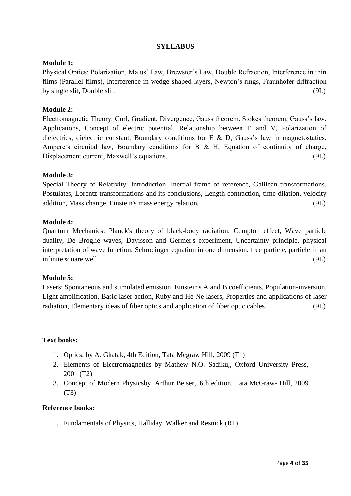#### **Module 1:**

Physical Optics: Polarization, Malus' Law, Brewster's Law, Double Refraction, Interference in thin films (Parallel films), Interference in wedge-shaped layers, Newton"s rings, Fraunhofer diffraction by single slit, Double slit. (9L)

# **Module 2:**

Electromagnetic Theory: Curl, Gradient, Divergence, Gauss theorem, Stokes theorem, Gauss"s law, Applications, Concept of electric potential, Relationship between E and V, Polarization of dielectrics, dielectric constant, Boundary conditions for E  $\&$  D, Gauss's law in magnetostatics, Ampere's circuital law, Boundary conditions for B  $\&$  H, Equation of continuity of charge, Displacement current, Maxwell"s equations. (9L)

### **Module 3:**

Special Theory of Relativity: Introduction, Inertial frame of reference, Galilean transformations, Postulates, Lorentz transformations and its conclusions, Length contraction, time dilation, velocity addition, Mass change, Einstein's mass energy relation. (9L)

#### **Module 4:**

Quantum Mechanics: Planck's theory of black-body radiation, Compton effect, Wave particle duality, De Broglie waves, Davisson and Germer's experiment, Uncertainty principle, physical interpretation of wave function, Schrodinger equation in one dimension, free particle, particle in an infinite square well. (9L) (9L)

#### **Module 5:**

Lasers: Spontaneous and stimulated emission, Einstein's A and B coefficients, Population-inversion, Light amplification, Basic laser action, Ruby and He-Ne lasers, Properties and applications of laser radiation, Elementary ideas of fiber optics and application of fiber optic cables. (9L)

#### **Text books:**

- 1. Optics, by A. Ghatak, 4th Edition, Tata Mcgraw Hill, 2009 (T1)
- 2. Elements of Electromagnetics by Mathew N.O. Sadiku,, Oxford University Press, 2001 (T2)
- 3. Concept of Modern Physicsby Arthur Beiser,, 6th edition, Tata McGraw- Hill, 2009 (T3)

#### **Reference books:**

1. Fundamentals of Physics, Halliday, Walker and Resnick (R1)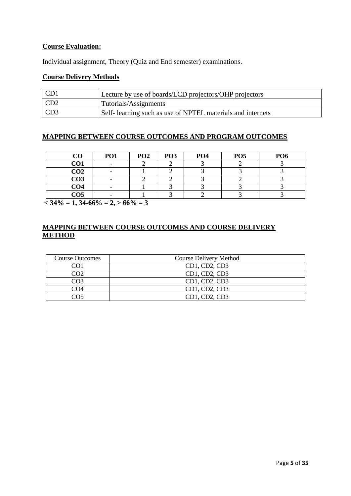### **Course Evaluation:**

Individual assignment, Theory (Quiz and End semester) examinations.

# **Course Delivery Methods**

| CD <sub>1</sub> | Lecture by use of boards/LCD projectors/OHP projectors     |
|-----------------|------------------------------------------------------------|
| CD <sub>2</sub> | Tutorials/Assignments                                      |
| CD3             | Self-learning such as use of NPTEL materials and internets |

#### **MAPPING BETWEEN COURSE OUTCOMES AND PROGRAM OUTCOMES**

| CO              | <b>PO1</b> | PO <sub>2</sub> | PO <sub>3</sub> | PO <sub>4</sub> | PO <sub>5</sub> | PO <sub>6</sub> |
|-----------------|------------|-----------------|-----------------|-----------------|-----------------|-----------------|
| CO1             |            |                 |                 |                 |                 |                 |
| CO <sub>2</sub> |            |                 |                 |                 |                 |                 |
| CO <sub>3</sub> |            |                 |                 |                 |                 |                 |
| CO <sub>4</sub> |            |                 |                 |                 |                 |                 |
| CO <sub>5</sub> |            |                 |                 |                 |                 |                 |

 $\sqrt{6.34\%}$  = 1, 34-66% = 2, > 66% = 3

| <b>Course Outcomes</b> | <b>Course Delivery Method</b> |
|------------------------|-------------------------------|
| ി 1                    | CD1, CD2, CD3                 |
| നാ                     | CD1, CD2, CD3                 |
| CO3                    | CD1, CD2, CD3                 |
| M) 4                   | CD1, CD2, CD3                 |
| ∼∩ร                    | CD1, CD2, CD3                 |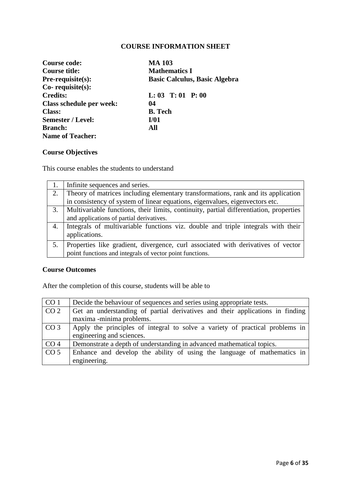| <b>Course code:</b>      | <b>MA 103</b>                        |
|--------------------------|--------------------------------------|
| Course title:            | <b>Mathematics I</b>                 |
| Pre-requisite(s):        | <b>Basic Calculus, Basic Algebra</b> |
| $Co$ - requisite $(s)$ : |                                      |
| <b>Credits:</b>          | $L: 03$ T: 01 P: 00                  |
| Class schedule per week: | 04                                   |
| Class:                   | <b>B.</b> Tech                       |
| <b>Semester / Level:</b> | I/01                                 |
| <b>Branch:</b>           | All                                  |
| <b>Name of Teacher:</b>  |                                      |

# **Course Objectives**

This course enables the students to understand

|    | Infinite sequences and series.                                                         |
|----|----------------------------------------------------------------------------------------|
| 2. | Theory of matrices including elementary transformations, rank and its application      |
|    | in consistency of system of linear equations, eigenvalues, eigenvectors etc.           |
| 3. | Multivariable functions, their limits, continuity, partial differentiation, properties |
|    | and applications of partial derivatives.                                               |
| 4. | Integrals of multivariable functions viz. double and triple integrals with their       |
|    | applications.                                                                          |
|    | Properties like gradient, divergence, curl associated with derivatives of vector       |
|    | point functions and integrals of vector point functions.                               |

# **Course Outcomes**

After the completion of this course, students will be able to

| CO <sub>1</sub> | Decide the behaviour of sequences and series using appropriate tests.         |
|-----------------|-------------------------------------------------------------------------------|
| CO <sub>2</sub> | Get an understanding of partial derivatives and their applications in finding |
|                 | maxima -minima problems.                                                      |
| CO <sub>3</sub> | Apply the principles of integral to solve a variety of practical problems in  |
|                 | engineering and sciences.                                                     |
| CO <sub>4</sub> | Demonstrate a depth of understanding in advanced mathematical topics.         |
| CO <sub>5</sub> | Enhance and develop the ability of using the language of mathematics in       |
|                 | engineering.                                                                  |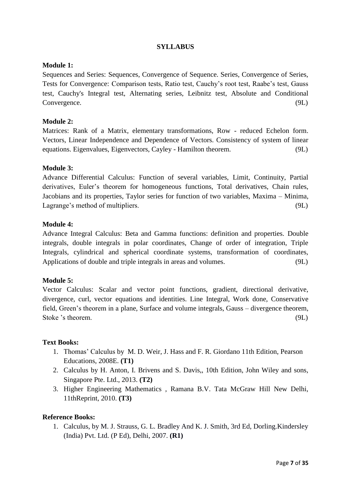### **Module 1:**

Sequences and Series: Sequences, Convergence of Sequence. Series, Convergence of Series, Tests for Convergence: Comparison tests, Ratio test, Cauchy"s root test, Raabe"s test, Gauss test, Cauchy's Integral test, Alternating series, Leibnitz test, Absolute and Conditional Convergence. (9L)

### **Module 2:**

Matrices: Rank of a Matrix, elementary transformations, Row - reduced Echelon form. Vectors, Linear Independence and Dependence of Vectors. Consistency of system of linear equations. Eigenvalues, Eigenvectors, Cayley - Hamilton theorem. (9L)

### **Module 3:**

Advance Differential Calculus: Function of several variables, Limit, Continuity, Partial derivatives, Euler's theorem for homogeneous functions, Total derivatives, Chain rules, Jacobians and its properties, Taylor series for function of two variables, Maxima – Minima, Lagrange's method of multipliers. (9L)

### **Module 4:**

Advance Integral Calculus: Beta and Gamma functions: definition and properties. Double integrals, double integrals in polar coordinates, Change of order of integration, Triple Integrals, cylindrical and spherical coordinate systems, transformation of coordinates, Applications of double and triple integrals in areas and volumes. (9L)

# **Module 5:**

Vector Calculus: Scalar and vector point functions, gradient, directional derivative, divergence, curl, vector equations and identities. Line Integral, Work done, Conservative field, Green's theorem in a plane, Surface and volume integrals, Gauss – divergence theorem, Stoke 's theorem. (9L)

#### **Text Books:**

- 1. Thomas" Calculus by M. D. Weir, J. Hass and F. R. Giordano 11th Edition, Pearson Educations, 2008E. **(T1)**
- 2. Calculus by H. Anton, I. Brivens and S. Davis,, 10th Edition, John Wiley and sons, Singapore Pte. Ltd., 2013. **(T2)**
- 3. Higher Engineering Mathematics , Ramana B.V. Tata McGraw Hill New Delhi, 11thReprint, 2010. **(T3)**

#### **Reference Books:**

1. Calculus, by M. J. Strauss, G. L. Bradley And K. J. Smith, 3rd Ed, Dorling.Kindersley (India) Pvt. Ltd. (P Ed), Delhi, 2007. **(R1)**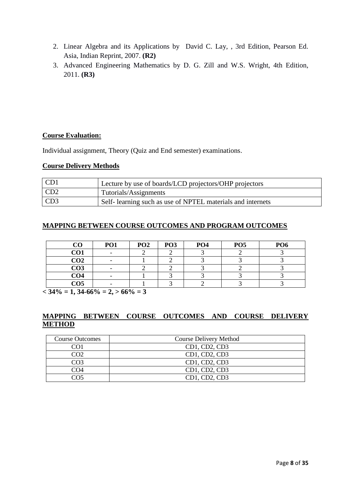- 2. Linear Algebra and its Applications by David C. Lay, , 3rd Edition, Pearson Ed. Asia, Indian Reprint, 2007. **(R2)**
- 3. Advanced Engineering Mathematics by D. G. Zill and W.S. Wright, 4th Edition, 2011. **(R3)**

### **Course Evaluation:**

Individual assignment, Theory (Quiz and End semester) examinations.

#### **Course Delivery Methods**

| CD1             | Lecture by use of boards/LCD projectors/OHP projectors      |
|-----------------|-------------------------------------------------------------|
| CD <sub>2</sub> | Tutorials/Assignments                                       |
| CD3             | Self- learning such as use of NPTEL materials and internets |

# **MAPPING BETWEEN COURSE OUTCOMES AND PROGRAM OUTCOMES**

| $\bf CO$        | <b>PO1</b> | PO <sub>2</sub> | PO <sub>3</sub> | PO <sub>4</sub> | PO <sub>5</sub> | PO <sub>6</sub> |
|-----------------|------------|-----------------|-----------------|-----------------|-----------------|-----------------|
| CO1             |            |                 |                 |                 |                 |                 |
| CO <sub>2</sub> |            |                 |                 |                 |                 |                 |
| CO <sub>3</sub> |            |                 |                 |                 |                 |                 |
| CO <sub>4</sub> |            |                 |                 |                 |                 |                 |
| CO <sub>5</sub> |            |                 |                 |                 |                 |                 |

 $<$  34\% = 1, 34-66\% = 2,  $>$  66\% = 3

| <b>Course Outcomes</b> | <b>Course Delivery Method</b> |
|------------------------|-------------------------------|
|                        | CD1, CD2, CD3                 |
| നാ                     | CD1, CD2, CD3                 |
| CO3                    | CD1, CD2, CD3                 |
| M) 4                   | CD1, CD2, CD3                 |
| 705                    | CD1, CD2, CD3                 |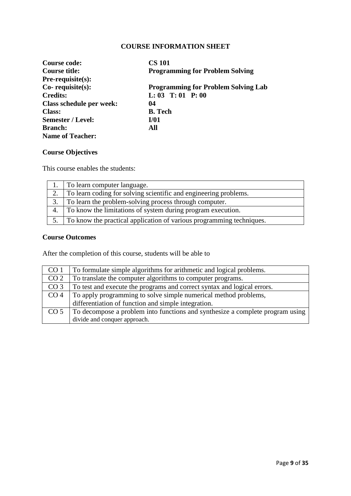| Course code:             | <b>CS 101</b>                              |
|--------------------------|--------------------------------------------|
| Course title:            | <b>Programming for Problem Solving</b>     |
| $Pre-requisite(s):$      |                                            |
| $Co$ - requisite $(s)$ : | <b>Programming for Problem Solving Lab</b> |
| <b>Credits:</b>          | $L: 03$ T: 01 P: 00                        |
| Class schedule per week: | 04                                         |
| <b>Class:</b>            | <b>B.</b> Tech                             |
| <b>Semester / Level:</b> | I/01                                       |
| <b>Branch:</b>           | All                                        |
| <b>Name of Teacher:</b>  |                                            |

# **Course Objectives**

This course enables the students:

|    | To learn computer language.                                             |
|----|-------------------------------------------------------------------------|
| 2. | To learn coding for solving scientific and engineering problems.        |
| 3. | To learn the problem-solving process through computer.                  |
| 4. | To know the limitations of system during program execution.             |
|    | 5. To know the practical application of various programming techniques. |

### **Course Outcomes**

After the completion of this course, students will be able to

| CO <sub>1</sub> | To formulate simple algorithms for arithmetic and logical problems.           |
|-----------------|-------------------------------------------------------------------------------|
| CO <sub>2</sub> | To translate the computer algorithms to computer programs.                    |
| CO <sub>3</sub> | To test and execute the programs and correct syntax and logical errors.       |
| CO <sub>4</sub> | To apply programming to solve simple numerical method problems,               |
|                 | differentiation of function and simple integration.                           |
| CO <sub>5</sub> | To decompose a problem into functions and synthesize a complete program using |
|                 | divide and conquer approach.                                                  |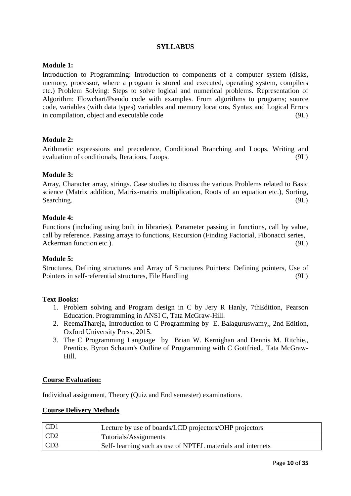### **Module 1:**

Introduction to Programming: Introduction to components of a computer system (disks, memory, processor, where a program is stored and executed, operating system, compilers etc.) Problem Solving: Steps to solve logical and numerical problems. Representation of Algorithm: Flowchart/Pseudo code with examples. From algorithms to programs; source code, variables (with data types) variables and memory locations, Syntax and Logical Errors in compilation, object and executable code (9L)

#### **Module 2:**

Arithmetic expressions and precedence, Conditional Branching and Loops, Writing and evaluation of conditionals, Iterations, Loops. (9L)

#### **Module 3:**

Array, Character array, strings. Case studies to discuss the various Problems related to Basic science (Matrix addition, Matrix-matrix multiplication, Roots of an equation etc.), Sorting, Searching. (9L)

#### **Module 4:**

Functions (including using built in libraries), Parameter passing in functions, call by value, call by reference. Passing arrays to functions, Recursion (Finding Factorial, Fibonacci series, Ackerman function etc.). (9L)

#### **Module 5:**

Structures, Defining structures and Array of Structures Pointers: Defining pointers, Use of Pointers in self-referential structures, File Handling (9L)

#### **Text Books:**

- 1. Problem solving and Program design in C by Jery R Hanly, 7thEdition, Pearson Education. Programming in ANSI C, Tata McGraw-Hill.
- 2. ReemaThareja, Introduction to C Programming by E. Balaguruswamy,, 2nd Edition, Oxford University Press, 2015.
- 3. The C Programming Language by Brian W. Kernighan and Dennis M. Ritchie,, Prentice. Byron Schaum's Outline of Programming with C Gottfried,, Tata McGraw-Hill.

#### **Course Evaluation:**

Individual assignment, Theory (Quiz and End semester) examinations.

#### **Course Delivery Methods**

| CD1             | Lecture by use of boards/LCD projectors/OHP projectors     |
|-----------------|------------------------------------------------------------|
| CD <sub>2</sub> | Tutorials/Assignments                                      |
| CD3             | Self-learning such as use of NPTEL materials and internets |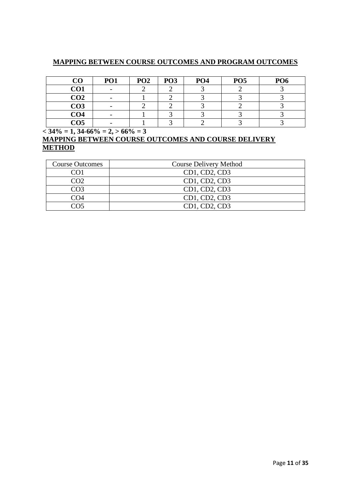# **MAPPING BETWEEN COURSE OUTCOMES AND PROGRAM OUTCOMES**

| CO              | PO1 | PO <sub>2</sub> | PO <sub>3</sub> | PO <sub>4</sub> | PO <sub>5</sub> | PO <sub>6</sub> |
|-----------------|-----|-----------------|-----------------|-----------------|-----------------|-----------------|
| CO1             |     |                 |                 |                 |                 |                 |
| CO <sub>2</sub> |     |                 |                 |                 |                 |                 |
| CO <sub>3</sub> |     |                 |                 |                 |                 |                 |
| CO <sub>4</sub> |     |                 |                 |                 |                 |                 |
| CO <sub>5</sub> |     |                 |                 |                 |                 |                 |

 $\sqrt{.34\%} = 1, 34.66\% = 2, > 66\% = 3$ 

| <b>Course Outcomes</b> | Course Delivery Method |
|------------------------|------------------------|
| $\bigcap$ 1            | CD1, CD2, CD3          |
| CO <sub>2</sub>        | CD1, CD2, CD3          |
| CO3                    | CD1, CD2, CD3          |
| CO4                    | CD1, CD2, CD3          |
| ∩ട                     | CD1, CD2, CD3          |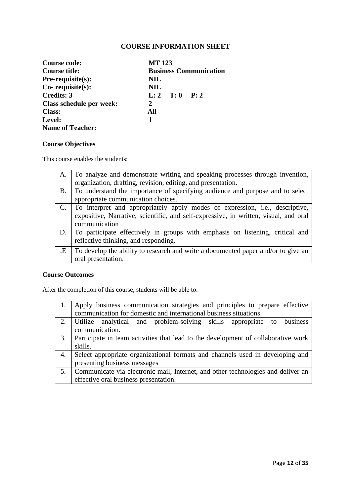| Course code:             | <b>MT123</b>                  |  |
|--------------------------|-------------------------------|--|
| Course title:            | <b>Business Communication</b> |  |
| <b>Pre-requisite(s):</b> | <b>NIL</b>                    |  |
| $Co$ - requisite $(s)$ : | <b>NIL</b>                    |  |
| <b>Credits: 3</b>        | L: 2 T: 0 P: 2                |  |
| Class schedule per week: | 2                             |  |
| <b>Class:</b>            | All                           |  |
| Level:                   | 1                             |  |
| <b>Name of Teacher:</b>  |                               |  |

# **Course Objectives**

This course enables the students:

| A.        | To analyze and demonstrate writing and speaking processes through invention,                                                                                                          |
|-----------|---------------------------------------------------------------------------------------------------------------------------------------------------------------------------------------|
|           | organization, drafting, revision, editing, and presentation.                                                                                                                          |
| <b>B.</b> | To understand the importance of specifying audience and purpose and to select                                                                                                         |
|           | appropriate communication choices.                                                                                                                                                    |
|           | To interpret and appropriately apply modes of expression, i.e., descriptive,<br>expositive, Narrative, scientific, and self-expressive, in written, visual, and oral<br>communication |
| D.        | To participate effectively in groups with emphasis on listening, critical and<br>reflective thinking, and responding.                                                                 |
| .E        | To develop the ability to research and write a documented paper and/or to give an<br>oral presentation.                                                                               |

### **Course Outcomes**

After the completion of this course, students will be able to:

|    | Apply business communication strategies and principles to prepare effective       |
|----|-----------------------------------------------------------------------------------|
|    | communication for domestic and international business situations.                 |
|    | Utilize analytical and problem-solving skills appropriate to<br>business          |
|    | communication.                                                                    |
| 3. | Participate in team activities that lead to the development of collaborative work |
|    | skills.                                                                           |
| 4. | Select appropriate organizational formats and channels used in developing and     |
|    | presenting business messages                                                      |
| 5. | Communicate via electronic mail, Internet, and other technologies and deliver an  |
|    | effective oral business presentation.                                             |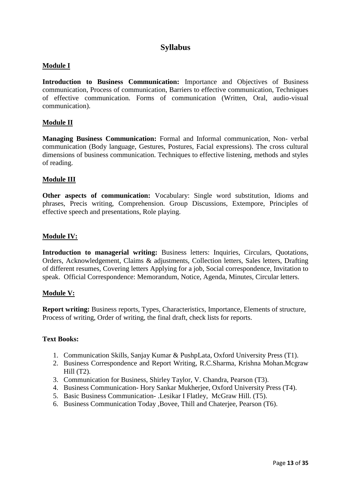# **Syllabus**

### **Module I**

**Introduction to Business Communication:** Importance and Objectives of Business communication, Process of communication, Barriers to effective communication, Techniques of effective communication. Forms of communication (Written, Oral, audio-visual communication).

#### **Module II**

**Managing Business Communication:** Formal and Informal communication, Non- verbal communication (Body language, Gestures, Postures, Facial expressions). The cross cultural dimensions of business communication. Techniques to effective listening, methods and styles of reading.

#### **Module III**

**Other aspects of communication:** Vocabulary: Single word substitution, Idioms and phrases, Precis writing, Comprehension. Group Discussions, Extempore, Principles of effective speech and presentations, Role playing.

#### **Module IV:**

**Introduction to managerial writing:** Business letters: Inquiries, Circulars, Quotations, Orders, Acknowledgement, Claims & adjustments, Collection letters, Sales letters, Drafting of different resumes, Covering letters Applying for a job, Social correspondence, Invitation to speak. Official Correspondence: Memorandum, Notice, Agenda, Minutes, Circular letters.

#### **Module V:**

**Report writing:** Business reports, Types, Characteristics, Importance, Elements of structure, Process of writing, Order of writing, the final draft, check lists for reports.

#### **Text Books:**

- 1. Communication Skills, Sanjay Kumar & PushpLata, Oxford University Press (T1).
- 2. Business Correspondence and Report Writing, R.C.Sharma, Krishna Mohan.Mcgraw Hill  $(T2)$ .
- 3. Communication for Business, Shirley Taylor, V. Chandra, Pearson (T3).
- 4. Business Communication- Hory Sankar Mukherjee, Oxford University Press (T4).
- 5. Basic Business Communication- .Lesikar I Flatley, McGraw Hill. (T5).
- 6. Business Communication Today ,Bovee, Thill and Chaterjee, Pearson (T6).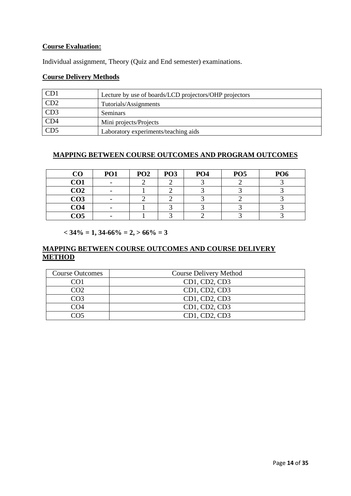### **Course Evaluation:**

Individual assignment, Theory (Quiz and End semester) examinations.

# **Course Delivery Methods**

| CD1 | Lecture by use of boards/LCD projectors/OHP projectors |
|-----|--------------------------------------------------------|
| CD2 | Tutorials/Assignments                                  |
| CD3 | <b>Seminars</b>                                        |
| CD4 | Mini projects/Projects                                 |
|     | Laboratory experiments/teaching aids                   |

# **MAPPING BETWEEN COURSE OUTCOMES AND PROGRAM OUTCOMES**

| CO              | <b>PO1</b> | PO <sub>2</sub> | PO <sub>3</sub> | PO <sub>4</sub> | PO <sub>5</sub> | PO <sub>6</sub> |
|-----------------|------------|-----------------|-----------------|-----------------|-----------------|-----------------|
| CO1             |            |                 |                 |                 |                 |                 |
| CO <sub>2</sub> |            |                 |                 |                 |                 |                 |
| CO <sub>3</sub> |            |                 |                 |                 |                 |                 |
| CO <sub>4</sub> |            |                 |                 |                 |                 |                 |
| CO <sub>5</sub> |            |                 |                 |                 |                 |                 |

 $<$  34% = 1, 34-66% = 2,  $>$  66% = 3

| <b>Course Outcomes</b> | Course Delivery Method |
|------------------------|------------------------|
| NO 1                   | CD1, CD2, CD3          |
| CO2                    | CD1, CD2, CD3          |
| CO3                    | CD1, CD2, CD3          |
| CO4                    | CD1, CD2, CD3          |
| ∼∩ร                    | CD1, CD2, CD3          |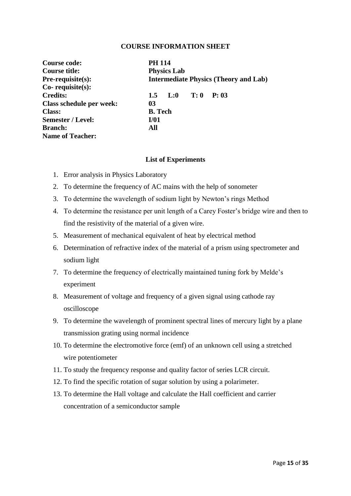| Course code:             | <b>PH 114</b>                                |
|--------------------------|----------------------------------------------|
| Course title:            | <b>Physics Lab</b>                           |
| $Pre-requisite(s):$      | <b>Intermediate Physics (Theory and Lab)</b> |
| $Co$ - requisite $(s)$ : |                                              |
| <b>Credits:</b>          | $L:0$ T: 0<br>P: 03<br>$1.5^{\circ}$         |
| Class schedule per week: | 03                                           |
| <b>Class:</b>            | <b>B.</b> Tech                               |
| Semester / Level:        | I/01                                         |
| <b>Branch:</b>           | All                                          |
| <b>Name of Teacher:</b>  |                                              |

#### **List of Experiments**

- 1. Error analysis in Physics Laboratory
- 2. To determine the frequency of AC mains with the help of sonometer
- 3. To determine the wavelength of sodium light by Newton"s rings Method
- 4. To determine the resistance per unit length of a Carey Foster"s bridge wire and then to find the resistivity of the material of a given wire.
- 5. Measurement of mechanical equivalent of heat by electrical method
- 6. Determination of refractive index of the material of a prism using spectrometer and sodium light
- 7. To determine the frequency of electrically maintained tuning fork by Melde"s experiment
- 8. Measurement of voltage and frequency of a given signal using cathode ray oscilloscope
- 9. To determine the wavelength of prominent spectral lines of mercury light by a plane transmission grating using normal incidence
- 10. To determine the electromotive force (emf) of an unknown cell using a stretched wire potentiometer
- 11. To study the frequency response and quality factor of series LCR circuit.
- 12. To find the specific rotation of sugar solution by using a polarimeter.
- 13. To determine the Hall voltage and calculate the Hall coefficient and carrier concentration of a semiconductor sample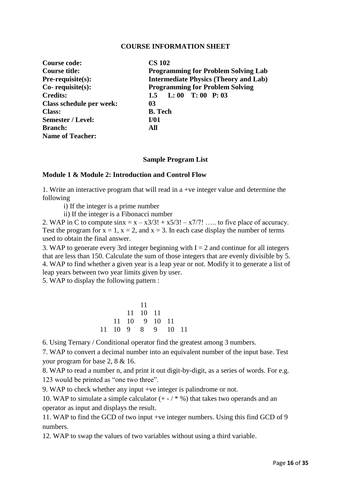| <b>Course code:</b>      | <b>CS 102</b>                                |
|--------------------------|----------------------------------------------|
| Course title:            | <b>Programming for Problem Solving Lab</b>   |
| $Pre-requisite(s):$      | <b>Intermediate Physics (Theory and Lab)</b> |
| $Co$ - requisite $(s)$ : | <b>Programming for Problem Solving</b>       |
| <b>Credits:</b>          | L: 00 T: 00 P: 03<br>1.5                     |
| Class schedule per week: | 03                                           |
| <b>Class:</b>            | <b>B.</b> Tech                               |
| <b>Semester / Level:</b> | I/01                                         |
| <b>Branch:</b>           | All                                          |
| <b>Name of Teacher:</b>  |                                              |

#### **Sample Program List**

#### **Module 1 & Module 2: Introduction and Control Flow**

1. Write an interactive program that will read in a +ve integer value and determine the following

i) If the integer is a prime number

ii) If the integer is a Fibonacci number

2. WAP in C to compute  $\sin x = x - x^2/3! + x^2/3! - x^{7/7!}$  ..... to five place of accuracy. Test the program for  $x = 1$ ,  $x = 2$ , and  $x = 3$ . In each case display the number of terms used to obtain the final answer.

3. WAP to generate every 3rd integer beginning with  $I = 2$  and continue for all integers that are less than 150. Calculate the sum of those integers that are evenly divisible by 5. 4. WAP to find whether a given year is a leap year or not. Modify it to generate a list of leap years between two year limits given by user.

5. WAP to display the following pattern :

|  | 11       |                   |  |
|--|----------|-------------------|--|
|  | 11 10 11 |                   |  |
|  |          | 11 10 9 10 11     |  |
|  |          | 11 10 9 8 9 10 11 |  |

6. Using Ternary / Conditional operator find the greatest among 3 numbers.

7. WAP to convert a decimal number into an equivalent number of the input base. Test your program for base 2, 8 & 16.

8. WAP to read a number n, and print it out digit-by-digit, as a series of words. For e.g. 123 would be printed as "one two three".

9. WAP to check whether any input +ve integer is palindrome or not.

10. WAP to simulate a simple calculator  $(+ - / * %)$  that takes two operands and an operator as input and displays the result.

11. WAP to find the GCD of two input +ve integer numbers. Using this find GCD of 9 numbers.

12. WAP to swap the values of two variables without using a third variable.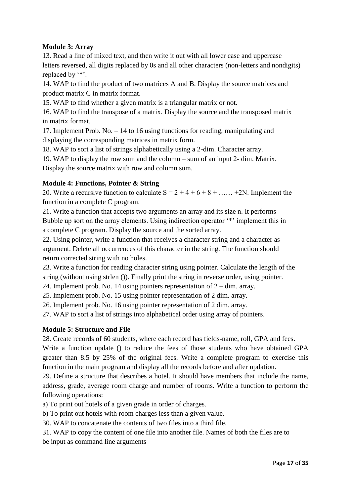# **Module 3: Array**

13. Read a line of mixed text, and then write it out with all lower case and uppercase letters reversed, all digits replaced by 0s and all other characters (non-letters and nondigits) replaced by '\*'.

14. WAP to find the product of two matrices A and B. Display the source matrices and product matrix C in matrix format.

15. WAP to find whether a given matrix is a triangular matrix or not.

16. WAP to find the transpose of a matrix. Display the source and the transposed matrix in matrix format.

17. Implement Prob. No. – 14 to 16 using functions for reading, manipulating and displaying the corresponding matrices in matrix form.

18. WAP to sort a list of strings alphabetically using a 2-dim. Character array.

19. WAP to display the row sum and the column – sum of an input 2- dim. Matrix. Display the source matrix with row and column sum.

# **Module 4: Functions, Pointer & String**

20. Write a recursive function to calculate  $S = 2 + 4 + 6 + 8 + \dots + 2N$ . Implement the function in a complete C program.

21. Write a function that accepts two arguments an array and its size n. It performs Bubble up sort on the array elements. Using indirection operator "\*" implement this in a complete C program. Display the source and the sorted array.

22. Using pointer, write a function that receives a character string and a character as argument. Delete all occurrences of this character in the string. The function should return corrected string with no holes.

23. Write a function for reading character string using pointer. Calculate the length of the string (without using strlen ()). Finally print the string in reverse order, using pointer.

24. Implement prob. No. 14 using pointers representation of 2 – dim. array.

25. Implement prob. No. 15 using pointer representation of 2 dim. array.

26. Implement prob. No. 16 using pointer representation of 2 dim. array.

27. WAP to sort a list of strings into alphabetical order using array of pointers.

# **Module 5: Structure and File**

28. Create records of 60 students, where each record has fields-name, roll, GPA and fees.

Write a function update () to reduce the fees of those students who have obtained GPA greater than 8.5 by 25% of the original fees. Write a complete program to exercise this function in the main program and display all the records before and after updation.

29. Define a structure that describes a hotel. It should have members that include the name, address, grade, average room charge and number of rooms. Write a function to perform the following operations:

a) To print out hotels of a given grade in order of charges.

b) To print out hotels with room charges less than a given value.

30. WAP to concatenate the contents of two files into a third file.

31. WAP to copy the content of one file into another file. Names of both the files are to be input as command line arguments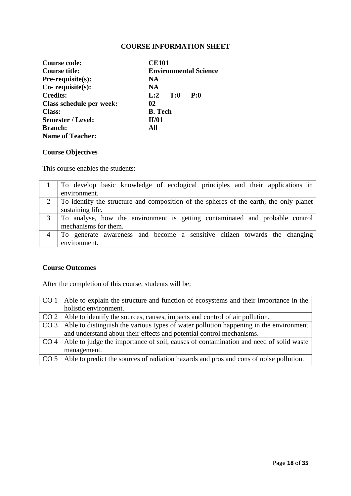| Course code:             | <b>CE101</b>                 |  |
|--------------------------|------------------------------|--|
| Course title:            | <b>Environmental Science</b> |  |
| Pre-requisite(s):        | NA                           |  |
| $Co$ - requisite $(s)$ : | NA                           |  |
| <b>Credits:</b>          | $L:2$ T:0<br>P:0             |  |
| Class schedule per week: | 02                           |  |
| <b>Class:</b>            | <b>B.</b> Tech               |  |
| <b>Semester / Level:</b> | II/01                        |  |
| <b>Branch:</b>           | All                          |  |
| <b>Name of Teacher:</b>  |                              |  |

# **Course Objectives**

This course enables the students:

| To develop basic knowledge of ecological principles and their applications in          |
|----------------------------------------------------------------------------------------|
| environment.                                                                           |
| To identify the structure and composition of the spheres of the earth, the only planet |
| sustaining life.                                                                       |
| To analyse, how the environment is getting contaminated and probable control           |
| mechanisms for them.                                                                   |
| To generate awareness and become a sensitive citizen towards the changing              |
| environment.                                                                           |

### **Course Outcomes**

After the completion of this course, students will be:

| CO <sub>1</sub> | Able to explain the structure and function of ecosystems and their importance in the   |
|-----------------|----------------------------------------------------------------------------------------|
|                 | holistic environment.                                                                  |
|                 | $CO 2$ Able to identify the sources, causes, impacts and control of air pollution.     |
| CO <sub>3</sub> | Able to distinguish the various types of water pollution happening in the environment  |
|                 | and understand about their effects and potential control mechanisms.                   |
| CO <sub>4</sub> | Able to judge the importance of soil, causes of contamination and need of solid waste  |
|                 | management.                                                                            |
| CO <sub>5</sub> | Able to predict the sources of radiation hazards and pros and cons of noise pollution. |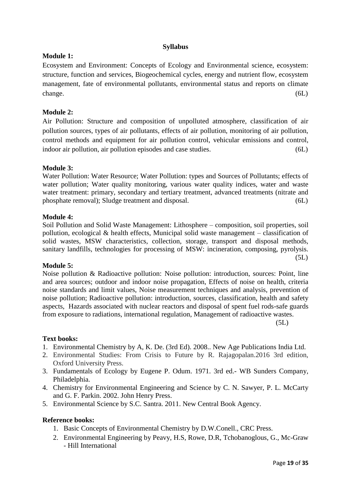### **Syllabus**

### **Module 1:**

Ecosystem and Environment: Concepts of Ecology and Environmental science, ecosystem: structure, function and services, Biogeochemical cycles, energy and nutrient flow, ecosystem management, fate of environmental pollutants, environmental status and reports on climate change. (6L)

## **Module 2:**

Air Pollution: Structure and composition of unpolluted atmosphere, classification of air pollution sources, types of air pollutants, effects of air pollution, monitoring of air pollution, control methods and equipment for air pollution control, vehicular emissions and control, indoor air pollution, air pollution episodes and case studies. (6L)

#### **Module 3:**

Water Pollution: Water Resource; Water Pollution: types and Sources of Pollutants; effects of water pollution; Water quality monitoring, various water quality indices, water and waste water treatment: primary, secondary and tertiary treatment, advanced treatments (nitrate and phosphate removal); Sludge treatment and disposal. (6L)

#### **Module 4:**

Soil Pollution and Solid Waste Management: Lithosphere – composition, soil properties, soil pollution, ecological  $\&$  health effects, Municipal solid waste management – classification of solid wastes, MSW characteristics, collection, storage, transport and disposal methods, sanitary landfills, technologies for processing of MSW: incineration, composing, pyrolysis.  $(5L)$ 

#### **Module 5:**

Noise pollution & Radioactive pollution: Noise pollution: introduction, sources: Point, line and area sources; outdoor and indoor noise propagation, Effects of noise on health, criteria noise standards and limit values, Noise measurement techniques and analysis, prevention of noise pollution; Radioactive pollution: introduction, sources, classification, health and safety aspects, Hazards associated with nuclear reactors and disposal of spent fuel rods-safe guards from exposure to radiations, international regulation, Management of radioactive wastes.

 $(5L)$ 

# **Text books:**

- 1. Environmental Chemistry by A, K. De. (3rd Ed). 2008.. New Age Publications India Ltd.
- 2. Environmental Studies: From Crisis to Future by R. Rajagopalan.2016 3rd edition, Oxford University Press.
- 3. Fundamentals of Ecology by Eugene P. Odum. 1971. 3rd ed.- WB Sunders Company, Philadelphia.
- 4. Chemistry for Environmental Engineering and Science by C. N. Sawyer, P. L. McCarty and G. F. Parkin. 2002. John Henry Press.
- 5. Environmental Science by S.C. Santra. 2011. New Central Book Agency.

#### **Reference books:**

- 1. Basic Concepts of Environmental Chemistry by D.W.Conell., CRC Press.
- 2. Environmental Engineering by Peavy, H.S, Rowe, D.R, Tchobanoglous, G., Mc-Graw - Hill International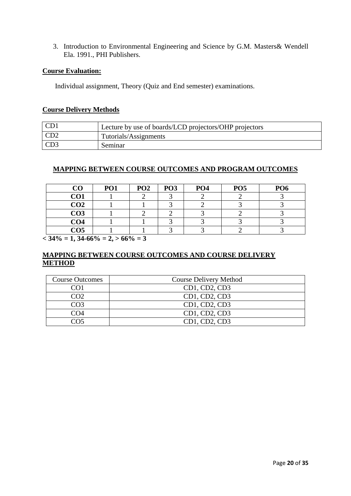3. Introduction to Environmental Engineering and Science by G.M. Masters& Wendell Ela. 1991., PHI Publishers.

#### **Course Evaluation:**

Individual assignment, Theory (Quiz and End semester) examinations.

#### **Course Delivery Methods**

| CD <sub>1</sub> | Lecture by use of boards/LCD projectors/OHP projectors |
|-----------------|--------------------------------------------------------|
| CD2             | Tutorials/Assignments                                  |
| CD3             | Seminar                                                |

# **MAPPING BETWEEN COURSE OUTCOMES AND PROGRAM OUTCOMES**

| CO              | PO <sub>1</sub> | PO <sub>2</sub> | PO <sub>3</sub> | PO <sub>4</sub> | PO <sub>5</sub> | PO <sub>6</sub> |
|-----------------|-----------------|-----------------|-----------------|-----------------|-----------------|-----------------|
| CO <sub>1</sub> |                 |                 |                 |                 |                 |                 |
| CO <sub>2</sub> |                 |                 |                 |                 |                 |                 |
| CO <sub>3</sub> |                 |                 |                 |                 |                 |                 |
| CO <sub>4</sub> |                 |                 |                 |                 |                 |                 |
| CO <sub>5</sub> |                 |                 |                 |                 |                 |                 |

 $<$  34\% = 1, 34-66\% = 2,  $>$  66\% = 3

| <b>Course Outcomes</b> | <b>Course Delivery Method</b> |
|------------------------|-------------------------------|
| CO1                    | CD1, CD2, CD3                 |
| CO2                    | CD1, CD2, CD3                 |
| CO3                    | CD1, CD2, CD3                 |
| CO4                    | CD1, CD2, CD3                 |
| റ്റ                    | CD1, CD2, CD3                 |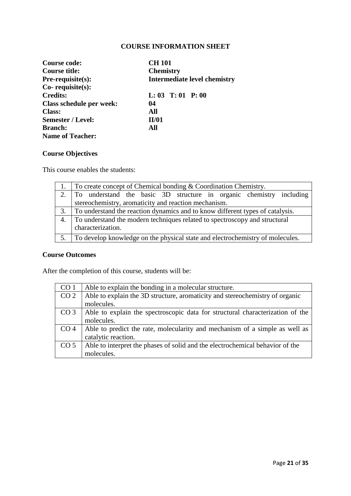| Course code:             | <b>CH 101</b>                       |
|--------------------------|-------------------------------------|
| Course title:            | <b>Chemistry</b>                    |
| Pre-requisite(s):        | <b>Intermediate level chemistry</b> |
| $Co$ - requisite $(s)$ : |                                     |
| <b>Credits:</b>          | $L: 03$ T: 01 P: 00                 |
| Class schedule per week: | 04                                  |
| <b>Class:</b>            | All                                 |
| <b>Semester / Level:</b> | II/01                               |
| <b>Branch:</b>           | All                                 |
| <b>Name of Teacher:</b>  |                                     |

# **Course Objectives**

This course enables the students:

| $\vert$ To create concept of Chemical bonding & Coordination Chemistry.                            |  |
|----------------------------------------------------------------------------------------------------|--|
| 2. To understand the basic 3D structure in organic chemistry including                             |  |
| stereochemistry, aromaticity and reaction mechanism.                                               |  |
| To understand the reaction dynamics and to know different types of catalysis.                      |  |
| 4. To understand the modern techniques related to spectroscopy and structural<br>characterization. |  |
| To develop knowledge on the physical state and electrochemistry of molecules.                      |  |

# **Course Outcomes**

After the completion of this course, students will be:

| CO <sub>1</sub> | Able to explain the bonding in a molecular structure.                         |
|-----------------|-------------------------------------------------------------------------------|
| CO <sub>2</sub> | Able to explain the 3D structure, aromaticity and stereochemistry of organic  |
|                 | molecules.                                                                    |
| CO <sub>3</sub> | Able to explain the spectroscopic data for structural characterization of the |
|                 | molecules.                                                                    |
| CO <sub>4</sub> | Able to predict the rate, molecularity and mechanism of a simple as well as   |
|                 | catalytic reaction.                                                           |
| CO <sub>5</sub> | Able to interpret the phases of solid and the electrochemical behavior of the |
|                 | molecules.                                                                    |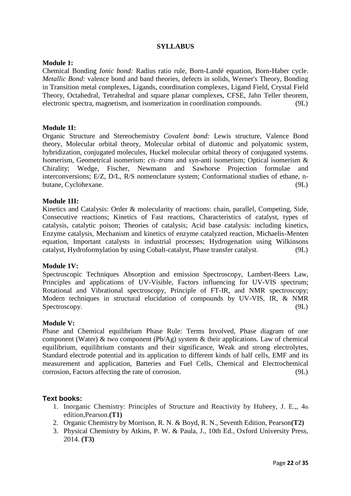#### **Module 1:**

Chemical Bonding *Ionic bond:* Radius ratio rule, Born-Landé equation, Born-Haber cycle. *Metallic Bond:* valence bond and band theories, defects in solids, Werner's Theory, Bonding in Transition metal complexes, Ligands, coordination complexes, Ligand Field, Crystal Field Theory, Octahedral, Tetrahedral and square planar complexes, CFSE, Jahn Teller theorem, electronic spectra, magnetism, and isomerization in coordination compounds. (9L)

#### **Module 1I:**

Organic Structure and Stereochemistry *Covalent bond:* Lewis structure, Valence Bond theory, Molecular orbital theory, Molecular orbital of diatomic and polyatomic system, hybridization, conjugated molecules, Huckel molecular orbital theory of conjugated systems. Isomerism, Geometrical isomerism: *cis*–*trans* and syn-anti isomerism; Optical isomerism & Chirality; Wedge, Fischer, Newmann and Sawhorse Projection formulae and interconversions; E/Z, D/L, R/S nomenclature system; Conformational studies of ethane, nbutane, Cyclohexane. (9L)

#### **Module 1II:**

Kinetics and Catalysis: Order & molecularity of reactions: chain, parallel, Competing, Side, Consecutive reactions; Kinetics of Fast reactions, Characteristics of catalyst, types of catalysis, catalytic poison; Theories of catalysis; Acid base catalysis: including kinetics, Enzyme catalysis, Mechanism and kinetics of enzyme catalyzed reaction, Michaelis-Menten equation, Important catalysts in industrial processes; Hydrogenation using Wilkinsons catalyst, Hydroformylation by using Cobalt-catalyst, Phase transfer catalyst. (9L)

#### **Module 1V:**

Spectroscopic Techniques Absorption and emission Spectroscopy, Lambert-Beers Law, Principles and applications of UV-Visible, Factors influencing for UV-VIS spectrum; Rotational and Vibrational spectroscopy, Principle of FT-IR, and NMR spectroscopy; Modern techniques in structural elucidation of compounds by UV-VIS, IR, & NMR Spectroscopy. (9L)

#### **Module V:**

Phase and Chemical equilibrium Phase Rule: Terms Involved, Phase diagram of one component (Water) & two component (Pb/Ag) system & their applications. Law of chemical equilibrium, equilibrium constants and their significance, Weak and strong electrolytes, Standard electrode potential and its application to different kinds of half cells, EMF and its measurement and application, Batteries and Fuel Cells, Chemical and Electrochemical corrosion, Factors affecting the rate of corrosion. (9L)

#### **Text books:**

- 1. Inorganic Chemistry: Principles of Structure and Reactivity by Huheey, J. E.,, 4th edition,Pearson.**(T1)**
- 2. Organic Chemistry by Morrison, R. N. & Boyd, R. N., Seventh Edition, Pearson**(T2)**
- 3. Physical Chemistry by Atkins, P. W. & Paula, J., 10th Ed., Oxford University Press, 2014. **(T3)**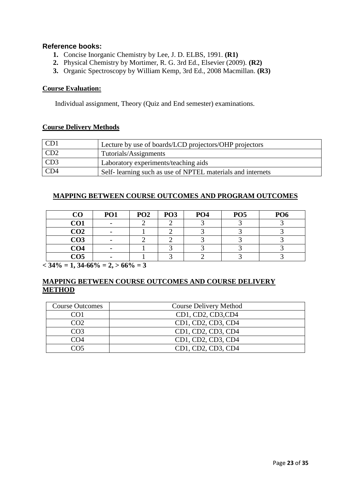# **Reference books:**

- **1.** Concise Inorganic Chemistry by Lee, J. D. ELBS, 1991. **(R1)**
- **2.** Physical Chemistry by Mortimer, R. G. 3rd Ed., Elsevier (2009). **(R2)**
- **3.** Organic Spectroscopy by William Kemp, 3rd Ed., 2008 Macmillan. **(R3)**

# **Course Evaluation:**

Individual assignment, Theory (Quiz and End semester) examinations.

### **Course Delivery Methods**

| CD <sub>1</sub> | Lecture by use of boards/LCD projectors/OHP projectors     |
|-----------------|------------------------------------------------------------|
| CD <sub>2</sub> | Tutorials/Assignments                                      |
| CD3             | Laboratory experiments/teaching aids                       |
| CD <sub>4</sub> | Self-learning such as use of NPTEL materials and internets |

### **MAPPING BETWEEN COURSE OUTCOMES AND PROGRAM OUTCOMES**

| $\bf CO$        | PO <sub>1</sub> | PO <sub>2</sub> | PO <sub>3</sub> | PO <sub>4</sub> | PO <sub>5</sub> | PO <sub>6</sub> |
|-----------------|-----------------|-----------------|-----------------|-----------------|-----------------|-----------------|
| CO <sub>1</sub> |                 |                 |                 |                 |                 |                 |
| CO <sub>2</sub> |                 |                 |                 |                 |                 |                 |
| CO <sub>3</sub> |                 |                 |                 |                 |                 |                 |
| CO <sub>4</sub> |                 |                 |                 |                 |                 |                 |
| CO <sub>5</sub> |                 |                 |                 |                 |                 |                 |

 $<$  34\% = 1, 34-66\% = 2,  $>$  66\% = 3

| <b>Course Outcomes</b> | <b>Course Delivery Method</b> |
|------------------------|-------------------------------|
| CO1                    | CD1, CD2, CD3, CD4            |
| CO2                    | CD1, CD2, CD3, CD4            |
| CO <sub>3</sub>        | CD1, CD2, CD3, CD4            |
| CO4                    | CD1, CD2, CD3, CD4            |
| ി∩<                    | CD1, CD2, CD3, CD4            |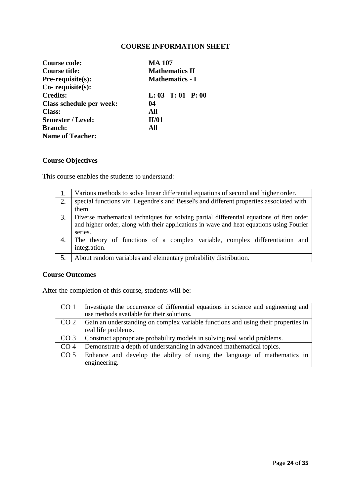| Course code:                                  | <b>MA 107</b>          |  |  |
|-----------------------------------------------|------------------------|--|--|
| <b>Mathematics II</b><br><b>Course title:</b> |                        |  |  |
| Pre-requisite(s):                             | <b>Mathematics - I</b> |  |  |
| Co-requisite(s):                              |                        |  |  |
| <b>Credits:</b>                               | $L: 03$ T: 01 P: 00    |  |  |
| Class schedule per week:                      | 04                     |  |  |
| <b>Class:</b>                                 | All                    |  |  |
| <b>Semester / Level:</b>                      | II/01                  |  |  |
| <b>Branch:</b>                                | All                    |  |  |
| <b>Name of Teacher:</b>                       |                        |  |  |

# **Course Objectives**

This course enables the students to understand:

|    | Various methods to solve linear differential equations of second and higher order.                                                                                                               |
|----|--------------------------------------------------------------------------------------------------------------------------------------------------------------------------------------------------|
| 2. | special functions viz. Legendre's and Bessel's and different properties associated with<br>them.                                                                                                 |
| 3. | Diverse mathematical techniques for solving partial differential equations of first order<br>and higher order, along with their applications in wave and heat equations using Fourier<br>series. |
| 4. | The theory of functions of a complex variable, complex differentiation and<br>integration.                                                                                                       |
|    | About random variables and elementary probability distribution.                                                                                                                                  |

# **Course Outcomes**

After the completion of this course, students will be:

| CO <sub>1</sub> | Investigate the occurrence of differential equations in science and engineering and |
|-----------------|-------------------------------------------------------------------------------------|
|                 | use methods available for their solutions.                                          |
| CO <sub>2</sub> | Gain an understanding on complex variable functions and using their properties in   |
|                 | real life problems.                                                                 |
| CO <sub>3</sub> | Construct appropriate probability models in solving real world problems.            |
| CO <sub>4</sub> | Demonstrate a depth of understanding in advanced mathematical topics.               |
| CO <sub>5</sub> | Enhance and develop the ability of using the language of mathematics in             |
|                 | engineering.                                                                        |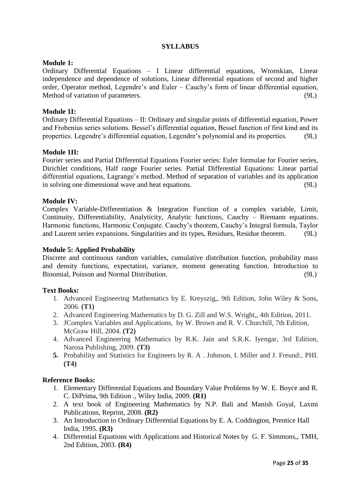#### **Module 1:**

Ordinary Differential Equations – I Linear differential equations, Wronskian, Linear independence and dependence of solutions, Linear differential equations of second and higher order, Operator method, Legendre's and Euler – Cauchy's form of linear differential equation, Method of variation of parameters. (9L)

#### **Module 1I:**

Ordinary Differential Equations – II: Ordinary and singular points of differential equation, Power and Frobenius series solutions. Bessel"s differential equation, Bessel function of first kind and its properties. Legendre"s differential equation, Legendre"s polynomial and its properties. (9L)

#### **Module 1II:**

Fourier series and Partial Differential Equations Fourier series: Euler formulae for Fourier series, Dirichlet conditions, Half range Fourier series. Partial Differential Equations: Linear partial differential equations, Lagrange"s method. Method of separation of variables and its application in solving one dimensional wave and heat equations. (9L)

#### **Module IV:**

Complex Variable-Differentiation & Integration Function of a complex variable, Limit, Continuity, Differentiability, Analyticity, Analytic functions, Cauchy – Riemann equations. Harmonic functions, Harmonic Conjugate. Cauchy"s theorem, Cauchy"s Integral formula, Taylor and Laurent series expansions. Singularities and its types, Residues, Residue theorem. (9L)

#### **Module 5: Applied Probability**

Discrete and continuous random variables, cumulative distribution function, probability mass and density functions, expectation, variance, moment generating function. Introduction to Binomial, Poisson and Normal Distribution. (9L)

#### **Text Books:**

- 1. Advanced Engineering Mathematics by E. Kreyszig,, 9th Edition, John Wiley & Sons, 2006. **(T1)**
- 2. Advanced Engineering Mathematics by D. G. Zill and W.S. Wright,, 4th Edition, 2011.
- 3. JComplex Variables and Applications, by W. Brown and R. V. Churchill, 7th Edition, McGraw Hill, 2004. **(T2)**
- 4. Advanced Engineering Mathematics by R.K. Jain and S.R.K. Iyengar, 3rd Edition, Narosa Publishing, 2009. **(T3)**
- **5.** Probability and Statistics for Engineers by R. A . Johnson, I. Miller and J. Freund:, PHI. **(T4)**

#### **Reference Books:**

- 1. Elementary Differential Equations and Boundary Value Problems by W. E. Boyce and R. C. DiPrima, 9th Edition ., Wiley India, 2009. **(R1)**
- 2. A text book of Engineering Mathematics by N.P. Bali and Manish Goyal, Laxmi Publications, Reprint, 2008. **(R2)**
- 3. An Introduction to Ordinary Differential Equations by E. A. Coddington, Prentice Hall India, 1995. **(R3)**
- 4. Differential Equations with Applications and Historical Notes by G. F. Simmons,, TMH, 2nd Edition, 2003. **(R4)**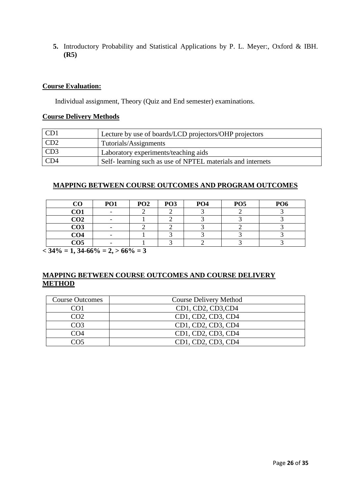**5.** Introductory Probability and Statistical Applications by P. L. Meyer:, Oxford & IBH. **(R5)**

### **Course Evaluation:**

Individual assignment, Theory (Quiz and End semester) examinations.

### **Course Delivery Methods**

| CD1 | Lecture by use of boards/LCD projectors/OHP projectors      |
|-----|-------------------------------------------------------------|
| CD2 | Tutorials/Assignments                                       |
| CD3 | Laboratory experiments/teaching aids                        |
| CD4 | Self- learning such as use of NPTEL materials and internets |

### **MAPPING BETWEEN COURSE OUTCOMES AND PROGRAM OUTCOMES**

|                 | <b>PO1</b> | PO <sub>2</sub> | PO <sub>3</sub> | PO <sub>4</sub> | PO <sub>5</sub> | PO <sub>6</sub> |
|-----------------|------------|-----------------|-----------------|-----------------|-----------------|-----------------|
| CO1             |            |                 |                 |                 |                 |                 |
| CO <sub>2</sub> |            |                 |                 |                 |                 |                 |
| CO <sub>3</sub> |            |                 |                 |                 |                 |                 |
| CO <sub>4</sub> |            |                 |                 |                 |                 |                 |
| CO <sub>5</sub> |            |                 |                 |                 |                 |                 |

 $<$  34% = 1, 34-66% = 2,  $>$  66% = 3

| <b>Course Outcomes</b> | Course Delivery Method |
|------------------------|------------------------|
| COL                    | CD1, CD2, CD3, CD4     |
| CO <sub>2</sub>        | CD1, CD2, CD3, CD4     |
| CO <sub>3</sub>        | CD1, CD2, CD3, CD4     |
| CO4                    | CD1, CD2, CD3, CD4     |
| า∩ร                    | CD1, CD2, CD3, CD4     |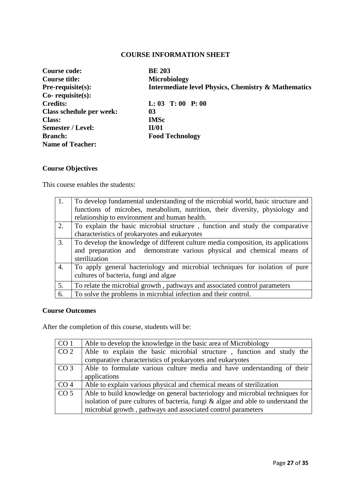| Course code:             | <b>BE 203</b>                                                  |
|--------------------------|----------------------------------------------------------------|
| <b>Course title:</b>     | Microbiology                                                   |
| $Pre-requisite(s):$      | <b>Intermediate level Physics, Chemistry &amp; Mathematics</b> |
| $Co$ - requisite $(s)$ : |                                                                |
| <b>Credits:</b>          | $L: 03$ T: 00 P: 00                                            |
| Class schedule per week: | 03                                                             |
| <b>Class:</b>            | <b>IMSc</b>                                                    |
| <b>Semester / Level:</b> | <b>II/01</b>                                                   |
| <b>Branch:</b>           | <b>Food Technology</b>                                         |
| <b>Name of Teacher:</b>  |                                                                |

# **Course Objectives**

This course enables the students:

| 1.               | To develop fundamental understanding of the microbial world, basic structure and  |
|------------------|-----------------------------------------------------------------------------------|
|                  | functions of microbes, metabolism, nutrition, their diversity, physiology and     |
|                  | relationship to environment and human health.                                     |
| 2.               | To explain the basic microbial structure, function and study the comparative      |
|                  | characteristics of prokaryotes and eukaryotes                                     |
| 3.               | To develop the knowledge of different culture media composition, its applications |
|                  | and preparation and demonstrate various physical and chemical means of            |
|                  | sterilization                                                                     |
| $\overline{4}$ . | To apply general bacteriology and microbial techniques for isolation of pure      |
|                  | cultures of bacteria, fungi and algae                                             |
| 5.               | To relate the microbial growth, pathways and associated control parameters        |
| 6.               | To solve the problems in microbial infection and their control.                   |

#### **Course Outcomes**

After the completion of this course, students will be:

| CO <sub>1</sub> | Able to develop the knowledge in the basic area of Microbiology                  |
|-----------------|----------------------------------------------------------------------------------|
| CO <sub>2</sub> | Able to explain the basic microbial structure, function and study the            |
|                 | comparative characteristics of prokaryotes and eukaryotes                        |
| CO <sub>3</sub> | Able to formulate various culture media and have understanding of their          |
|                 | applications                                                                     |
| CO <sub>4</sub> | Able to explain various physical and chemical means of sterilization             |
| CO <sub>5</sub> | Able to build knowledge on general bacteriology and microbial techniques for     |
|                 | isolation of pure cultures of bacteria, fungi & algae and able to understand the |
|                 | microbial growth, pathways and associated control parameters                     |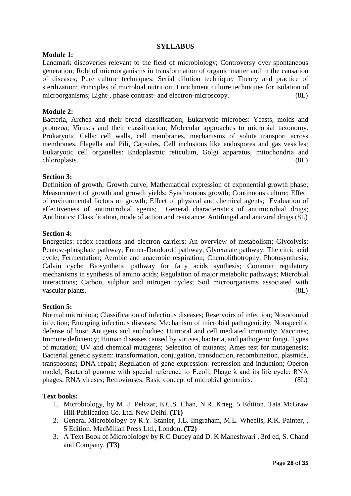#### **Module 1:**

Landmark discoveries relevant to the field of microbiology; Controversy over spontaneous generation; Role of microorganisms in transformation of organic matter and in the causation of diseases; Pure culture techniques; Serial dilution technique; Theory and practice of sterilization; Principles of microbial nutrition; Enrichment culture techniques for isolation of microorganisms; Light-, phase contrast- and electron-microscopy. (8L)

#### **Module 2:**

Bacteria, Archea and their broad classification; Eukaryotic microbes: Yeasts, molds and protozoa; Viruses and their classification; Molecular approaches to microbial taxonomy. Prokaryotic Cells: cell walls, cell membranes, mechanisms of solute transport across membranes, Flagella and Pili, Capsules, Cell inclusions like endospores and gas vesicles; Eukaryotic cell organelles: Endoplasmic reticulum, Golgi apparatus, mitochondria and chloroplasts. (8L)

#### **Section 3:**

Definition of growth; Growth curve; Mathematical expression of exponential growth phase; Measurement of growth and growth yields; Synchronous growth; Continuous culture; Effect of environmental factors on growth; Effect of physical and chemical agents; Evaluation of effectiveness of antimicrobial agents; General characteristics of antimicrobial drugs; Antibiotics: Classification, mode of action and resistance; Antifungal and antiviral drugs.(8L)

#### **Section 4:**

Energetics: redox reactions and electron carriers; An overview of metabolism; Glycolysis; Pentose-phosphate pathway; Entner-Doudoroff pathway; Glyoxalate pathway; The citric acid cycle; Fermentation; Aerobic and anaerobic respiration; Chemolithotrophy; Photosynthesis; Calvin cycle; Biosynthetic pathway for fatty acids synthesis; Common regulatory mechanisms in synthesis of amino acids; Regulation of major metabolic pathways; Microbial interactions; Carbon, sulphur and nitrogen cycles; Soil microorganisms associated with vascular plants. (8L)

#### **Section 5:**

Normal microbiota; Classification of infectious diseases; Reservoirs of infection; Nosocomial infection; Emerging infectious diseases; Mechanism of microbial pathogenicity; Nonspecific defense of host; Antigens and antibodies; Humoral and cell mediated immunity; Vaccines; Immune deficiency; Human diseases caused by viruses, bacteria, and pathogenic fungi. Types of mutation; UV and chemical mutagens; Selection of mutants; Ames test for mutagenesis; Bacterial genetic system: transformation, conjugation, transduction, recombination, plasmids, transposons; DNA repair; Regulation of gene expression: repression and induction; Operon model; Bacterial genome with special reference to E.coli; Phage λ and its life cycle; RNA phages; RNA viruses; Retroviruses; Basic concept of microbial genomics. (8L)

#### **Text books:**

- 1. Microbiology, by M. J. Pelczar, E.C.S. Chan, N.R. Krieg, 5 Edition. Tata McGraw Hill Publication Co. Ltd. New Delhi. **(T1)**
- 2. General Microbiology by R.Y. Stanier, J.L. Iingraham, M.L. Wheelis, R.K. Painter, , 5 Edition. MacMillan Press Ltd., London. **(T2)**
- 3. A Text Book of Microbiology by R.C Dubey and D. K Maheshwari , 3rd ed, S. Chand and Company. **(T3)**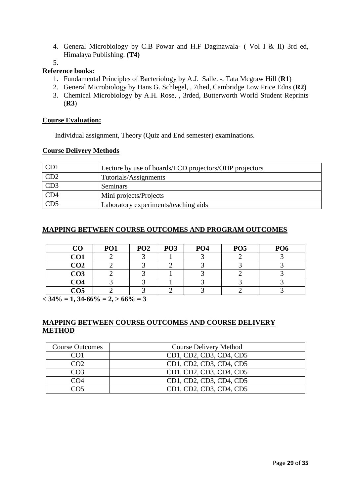- 4. General Microbiology by C.B Powar and H.F Daginawala- ( Vol I & II) 3rd ed, Himalaya Publishing. **(T4)**
- 5.

## **Reference books:**

- 1. Fundamental Principles of Bacteriology by A.J. Salle. -, Tata Mcgraw Hill (**R1**)
- 2. General Microbiology by Hans G. Schlegel, , 7thed, Cambridge Low Price Edns (**R2**)
- 3. Chemical Microbiology by A.H. Rose, , 3rded, Butterworth World Student Reprints (**R3**)

#### **Course Evaluation:**

Individual assignment, Theory (Quiz and End semester) examinations.

#### **Course Delivery Methods**

| CD1 | Lecture by use of boards/LCD projectors/OHP projectors |
|-----|--------------------------------------------------------|
| CD2 | Tutorials/Assignments                                  |
| CD3 | Seminars                                               |
| CD4 | Mini projects/Projects                                 |
| CD5 | Laboratory experiments/teaching aids                   |

### **MAPPING BETWEEN COURSE OUTCOMES AND PROGRAM OUTCOMES**

| $\bf CO$        | PO <sub>1</sub> | PO <sub>2</sub> | PO <sub>3</sub> | PO <sub>4</sub> | PO <sub>5</sub> | PO <sub>6</sub> |
|-----------------|-----------------|-----------------|-----------------|-----------------|-----------------|-----------------|
| CO1             |                 |                 |                 |                 |                 |                 |
| CO <sub>2</sub> |                 |                 |                 |                 |                 |                 |
| CO <sub>3</sub> |                 |                 |                 |                 |                 |                 |
| CO <sub>4</sub> |                 |                 |                 |                 |                 |                 |
| CO5             |                 |                 |                 |                 |                 |                 |

 $<$  34\% = 1, 34-66\% = 2,  $>$  66\% = 3

| <b>Course Outcomes</b> | <b>Course Delivery Method</b> |
|------------------------|-------------------------------|
|                        | CD1, CD2, CD3, CD4, CD5       |
| CO2                    | CD1, CD2, CD3, CD4, CD5       |
| CO3                    | CD1, CD2, CD3, CD4, CD5       |
| CO4                    | CD1, CD2, CD3, CD4, CD5       |
|                        | CD1, CD2, CD3, CD4, CD5       |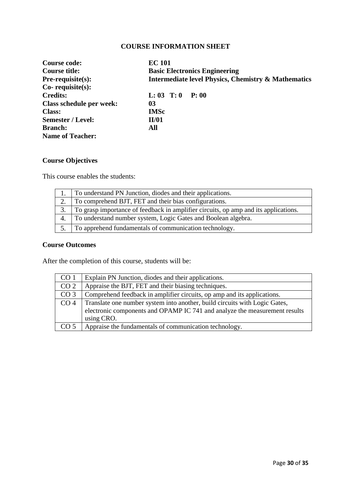| <b>Course code:</b>             | <b>EC 101</b>                                                  |  |  |
|---------------------------------|----------------------------------------------------------------|--|--|
| <b>Course title:</b>            | <b>Basic Electronics Engineering</b>                           |  |  |
| $Pre-requisite(s):$             | <b>Intermediate level Physics, Chemistry &amp; Mathematics</b> |  |  |
| $Co$ - requisite $(s)$ :        |                                                                |  |  |
| <b>Credits:</b>                 | $L: 03$ T: 0<br>P: 00                                          |  |  |
| <b>Class schedule per week:</b> | 03                                                             |  |  |
| <b>Class:</b>                   | <b>IMSc</b>                                                    |  |  |
| <b>Semester / Level:</b>        | <b>II/01</b>                                                   |  |  |
| <b>Branch:</b>                  | All                                                            |  |  |
| <b>Name of Teacher:</b>         |                                                                |  |  |

# **Course Objectives**

This course enables the students:

|    | To understand PN Junction, diodes and their applications.                           |
|----|-------------------------------------------------------------------------------------|
|    | To comprehend BJT, FET and their bias configurations.                               |
|    | To grasp importance of feedback in amplifier circuits, op amp and its applications. |
| 4. | To understand number system, Logic Gates and Boolean algebra.                       |
|    | To apprehend fundamentals of communication technology.                              |

# **Course Outcomes**

After the completion of this course, students will be:

| CO <sub>1</sub> | Explain PN Junction, diodes and their applications.                        |
|-----------------|----------------------------------------------------------------------------|
| CO <sub>2</sub> | Appraise the BJT, FET and their biasing techniques.                        |
| CO <sub>3</sub> | Comprehend feedback in amplifier circuits, op amp and its applications.    |
| CO <sub>4</sub> | Translate one number system into another, build circuits with Logic Gates, |
|                 | electronic components and OPAMP IC 741 and analyze the measurement results |
|                 | using CRO.                                                                 |
| CO <sub>5</sub> | Appraise the fundamentals of communication technology.                     |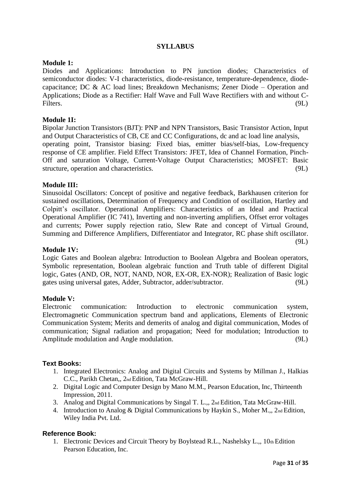#### **Module 1:**

Diodes and Applications: Introduction to PN junction diodes; Characteristics of semiconductor diodes: V-I characteristics, diode-resistance, temperature-dependence, diodecapacitance; DC & AC load lines; Breakdown Mechanisms; Zener Diode – Operation and Applications; Diode as a Rectifier: Half Wave and Full Wave Rectifiers with and without C-Filters. (9L)

## **Module 1I:**

Bipolar Junction Transistors (BJT): PNP and NPN Transistors, Basic Transistor Action, Input and Output Characteristics of CB, CE and CC Configurations, dc and ac load line analysis, operating point, Transistor biasing: Fixed bias, emitter bias/self-bias, Low-frequency response of CE amplifier. Field Effect Transistors: JFET, Idea of Channel Formation, Pinch-Off and saturation Voltage, Current-Voltage Output Characteristics; MOSFET: Basic structure, operation and characteristics. (9L)

#### **Module III:**

Sinusoidal Oscillators: Concept of positive and negative feedback, Barkhausen criterion for sustained oscillations, Determination of Frequency and Condition of oscillation, Hartley and Colpitt"s oscillator. Operational Amplifiers: Characteristics of an Ideal and Practical Operational Amplifier (IC 741), Inverting and non-inverting amplifiers, Offset error voltages and currents; Power supply rejection ratio, Slew Rate and concept of Virtual Ground, Summing and Difference Amplifiers, Differentiator and Integrator, RC phase shift oscillator. (9L)

#### **Module 1V:**

Logic Gates and Boolean algebra: Introduction to Boolean Algebra and Boolean operators, Symbolic representation, Boolean algebraic function and Truth table of different Digital logic, Gates (AND, OR, NOT, NAND, NOR, EX-OR, EX-NOR); Realization of Basic logic gates using universal gates, Adder, Subtractor, adder/subtractor. (9L)

#### **Module V:**

Electronic communication: Introduction to electronic communication system, Electromagnetic Communication spectrum band and applications, Elements of Electronic Communication System; Merits and demerits of analog and digital communication, Modes of communication; Signal radiation and propagation; Need for modulation; Introduction to Amplitude modulation and Angle modulation. (9L)

#### **Text Books:**

- 1. Integrated Electronics: Analog and Digital Circuits and Systems by Millman J., Halkias C.C., Parikh Chetan,, 2nd Edition, Tata McGraw-Hill.
- 2. Digital Logic and Computer Design by Mano M.M., Pearson Education, Inc, Thirteenth Impression, 2011.
- 3. Analog and Digital Communications by Singal T. L.,, 2nd Edition, Tata McGraw-Hill.
- 4. Introduction to Analog & Digital Communications by Haykin S., Moher M.,, 2nd Edition, Wiley India Pvt. Ltd.

#### **Reference Book:**

1. Electronic Devices and Circuit Theory by Boylstead R.L., Nashelsky L.,, 10th Edition Pearson Education, Inc.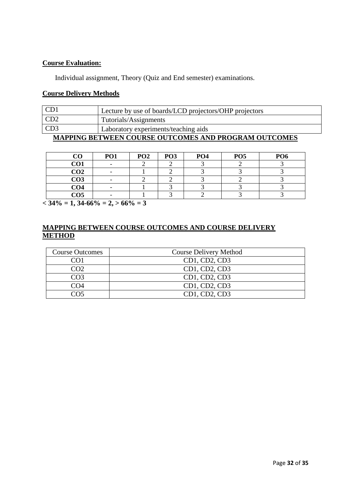#### **Course Evaluation:**

Individual assignment, Theory (Quiz and End semester) examinations.

#### **Course Delivery Methods**

| CD1                                                         | Lecture by use of boards/LCD projectors/OHP projectors |  |
|-------------------------------------------------------------|--------------------------------------------------------|--|
| CD2                                                         | Tutorials/Assignments                                  |  |
| CD3                                                         | Laboratory experiments/teaching aids                   |  |
| <b>MAPPING BETWEEN COURSE OUTCOMES AND PROGRAM OUTCOMES</b> |                                                        |  |

| CO              | <b>PO1</b> | PO <sub>2</sub> | PO <sub>3</sub> | PO <sub>4</sub> | PO <sub>5</sub> | PO <sub>6</sub> |
|-----------------|------------|-----------------|-----------------|-----------------|-----------------|-----------------|
| CO1             |            |                 |                 |                 |                 |                 |
| CO <sub>2</sub> |            |                 |                 |                 |                 |                 |
| CO <sub>3</sub> |            |                 |                 |                 |                 |                 |
| CO <sub>4</sub> |            |                 |                 |                 |                 |                 |
| CO <sub>5</sub> |            |                 |                 |                 |                 |                 |

 $\sqrt{34\%}$  = 1, 34-66% = 2, > 66% = 3

| <b>Course Outcomes</b> | <b>Course Delivery Method</b> |
|------------------------|-------------------------------|
|                        | $CD1$ , $CD2$ , $CD3$         |
| CO <sub>2</sub>        | CD1, CD2, CD3                 |
| CO3                    | CD1, CD2, CD3                 |
| CO4                    | CD1, CD2, CD3                 |
| 705                    | $CD1$ , $CD2$ , $CD3$         |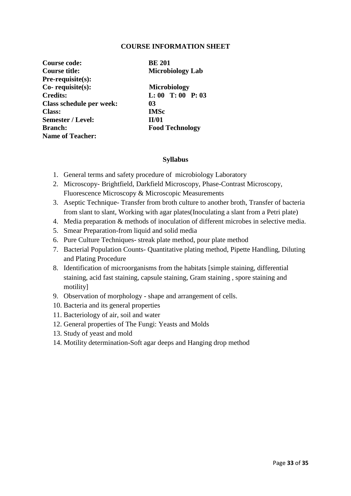| Course code:             | <b>BE 201</b>           |  |
|--------------------------|-------------------------|--|
| <b>Course title:</b>     | <b>Microbiology Lab</b> |  |
| Pre-requisite(s):        |                         |  |
| Co-requisite(s):         | <b>Microbiology</b>     |  |
| <b>Credits:</b>          | $L: 00$ T: 00 P: 03     |  |
| Class schedule per week: | 03                      |  |
| <b>Class:</b>            | <b>IMSc</b>             |  |
| <b>Semester / Level:</b> | II/01                   |  |
| <b>Branch:</b>           | <b>Food Technology</b>  |  |
| <b>Name of Teacher:</b>  |                         |  |

#### **Syllabus**

- 1. General terms and safety procedure of microbiology Laboratory
- 2. Microscopy- Brightfield, Darkfield Microscopy, Phase-Contrast Microscopy, Fluorescence Microscopy & Microscopic Measurements
- 3. Aseptic Technique- Transfer from broth culture to another broth, Transfer of bacteria from slant to slant, Working with agar plates(Inoculating a slant from a Petri plate)
- 4. Media preparation & methods of inoculation of different microbes in selective media.
- 5. Smear Preparation-from liquid and solid media
- 6. Pure Culture Techniques- streak plate method, pour plate method
- 7. Bacterial Population Counts- Quantitative plating method, Pipette Handling, Diluting and Plating Procedure
- 8. Identification of microorganisms from the habitats [simple staining, differential staining, acid fast staining, capsule staining, Gram staining , spore staining and motility]
- 9. Observation of morphology shape and arrangement of cells.
- 10. Bacteria and its general properties
- 11. Bacteriology of air, soil and water
- 12. General properties of The Fungi: Yeasts and Molds
- 13. Study of yeast and mold
- 14. Motility determination-Soft agar deeps and Hanging drop method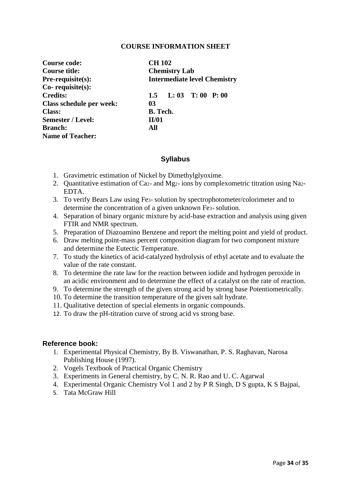| <b>Course code:</b>             | <b>CH 102</b>                       |  |
|---------------------------------|-------------------------------------|--|
| Course title:                   | <b>Chemistry Lab</b>                |  |
| $Pre-requisite(s):$             | <b>Intermediate level Chemistry</b> |  |
| Co-requisite(s):                |                                     |  |
| <b>Credits:</b>                 | 1.5 L: 03 T: 00 P: 00               |  |
| <b>Class schedule per week:</b> | 03                                  |  |
| <b>Class:</b>                   | <b>B.</b> Tech.                     |  |
| <b>Semester / Level:</b>        | II/01                               |  |
| <b>Branch:</b>                  | All                                 |  |
| <b>Name of Teacher:</b>         |                                     |  |

#### **Syllabus**

- 1. Gravimetric estimation of Nickel by Dimethylglyoxime.
- 2. Quantitative estimation of Ca2+ and Mg2+ ions by complexometric titration using Na2- EDTA.
- 3. To verify Bears Law using Fe3+ solution by spectrophotometer/colorimeter and to determine the concentration of a given unknown Fe3+ solution.
- 4. Separation of binary organic mixture by acid-base extraction and analysis using given FTIR and NMR spectrum.
- 5. Preparation of Diazoamino Benzene and report the melting point and yield of product.
- 6. Draw melting point-mass percent composition diagram for two component mixture and determine the Eutectic Temperature.
- 7. To study the kinetics of acid-catalyzed hydrolysis of ethyl acetate and to evaluate the value of the rate constant.
- 8. To determine the rate law for the reaction between iodide and hydrogen peroxide in an acidic environment and to determine the effect of a catalyst on the rate of reaction.
- 9. To determine the strength of the given strong acid by strong base Potentiometrically.
- 10. To determine the transition temperature of the given salt hydrate.
- 11. Qualitative detection of special elements in organic compounds.
- 12. To draw the pH-titration curve of strong acid vs strong base.

#### **Reference book:**

- 1. Experimental Physical Chemistry, By B. Viswanathan, P. S. Raghavan, Narosa Publishing House (1997).
- 2. Vogels Textbook of Practical Organic Chemistry
- 3. Experiments in General chemistry, by C. N. R. Rao and U. C. Agarwal
- 4. Experimental Organic Chemistry Vol 1 and 2 by P R Singh, D S gupta, K S Bajpai,
- 5. Tata McGraw Hill